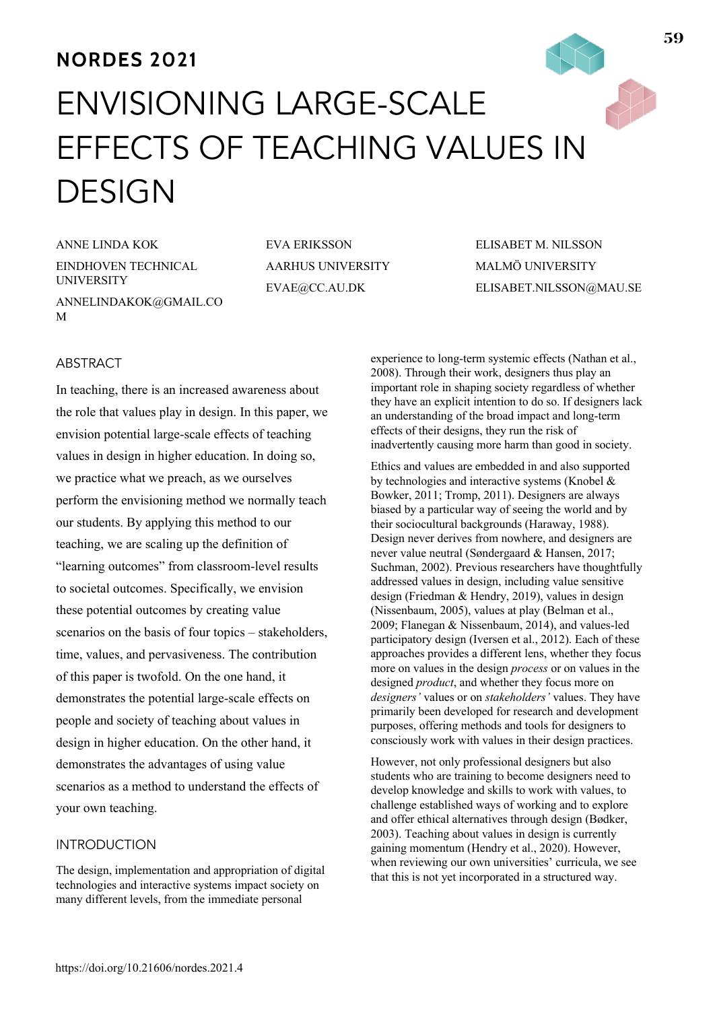# **NORDES 2021** ENVISIONING LARGE-SCALE EFFECTS OF TEACHING VALUES IN DESIGN

ANNE LINDA KOK EINDHOVEN TECHNICAL UNIVERSITY ANNELINDAKOK@GMAIL.CO M

EVA ERIKSSON AARHUS UNIVERSITY EVAE@CC.AU.DK

ELISABET M. NILSSON MALMÖ UNIVERSITY ELISABET.NILSSON@MAU.SE

# **ABSTRACT**

In teaching, there is an increased awareness about the role that values play in design. In this paper, we envision potential large-scale effects of teaching values in design in higher education. In doing so, we practice what we preach, as we ourselves perform the envisioning method we normally teach our students. By applying this method to our teaching, we are scaling up the definition of "learning outcomes" from classroom-level results to societal outcomes. Specifically, we envision these potential outcomes by creating value scenarios on the basis of four topics – stakeholders, time, values, and pervasiveness. The contribution of this paper is twofold. On the one hand, it demonstrates the potential large-scale effects on people and society of teaching about values in design in higher education. On the other hand, it demonstrates the advantages of using value scenarios as a method to understand the effects of your own teaching.

## INTRODUCTION

The design, implementation and appropriation of digital technologies and interactive systems impact society on many different levels, from the immediate personal

experience to long-term systemic effects (Nathan et al., 2008). Through their work, designers thus play an important role in shaping society regardless of whether they have an explicit intention to do so. If designers lack an understanding of the broad impact and long-term effects of their designs, they run the risk of inadvertently causing more harm than good in society.

Ethics and values are embedded in and also supported by technologies and interactive systems (Knobel & Bowker, 2011; Tromp, 2011). Designers are always biased by a particular way of seeing the world and by their sociocultural backgrounds (Haraway, 1988). Design never derives from nowhere, and designers are never value neutral (Søndergaard & Hansen, 2017; Suchman, 2002). Previous researchers have thoughtfully addressed values in design, including value sensitive design (Friedman & Hendry, 2019), values in design (Nissenbaum, 2005), values at play (Belman et al., 2009; Flanegan & Nissenbaum, 2014), and values-led participatory design (Iversen et al., 2012). Each of these approaches provides a different lens, whether they focus more on values in the design *process* or on values in the designed *product*, and whether they focus more on *designers'* values or on *stakeholders'* values. They have primarily been developed for research and development purposes, offering methods and tools for designers to consciously work with values in their design practices.

However, not only professional designers but also students who are training to become designers need to develop knowledge and skills to work with values, to challenge established ways of working and to explore and offer ethical alternatives through design (Bødker, 2003). Teaching about values in design is currently gaining momentum (Hendry et al., 2020). However, when reviewing our own universities' curricula, we see that this is not yet incorporated in a structured way.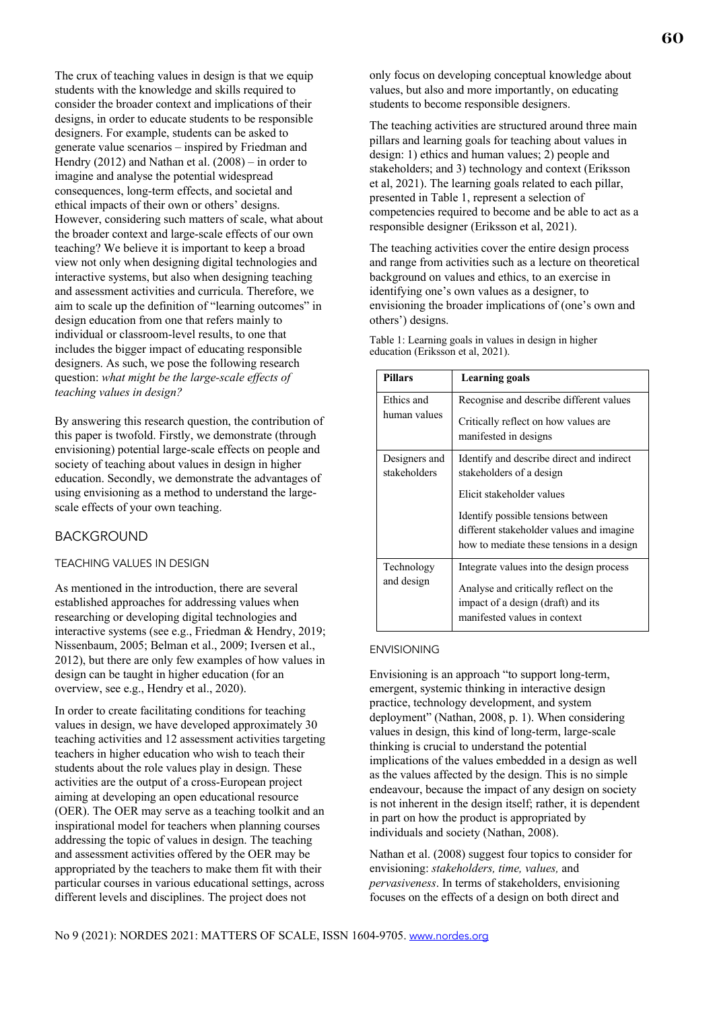The crux of teaching values in design is that we equip students with the knowledge and skills required to consider the broader context and implications of their designs, in order to educate students to be responsible designers. For example, students can be asked to generate value scenarios – inspired by Friedman and Hendry (2012) and Nathan et al. (2008) – in order to imagine and analyse the potential widespread consequences, long-term effects, and societal and ethical impacts of their own or others' designs. However, considering such matters of scale, what about the broader context and large-scale effects of our own teaching? We believe it is important to keep a broad view not only when designing digital technologies and interactive systems, but also when designing teaching and assessment activities and curricula. Therefore, we aim to scale up the definition of "learning outcomes" in design education from one that refers mainly to individual or classroom-level results, to one that includes the bigger impact of educating responsible designers. As such, we pose the following research question: *what might be the large-scale effects of teaching values in design?* 

By answering this research question, the contribution of this paper is twofold. Firstly, we demonstrate (through envisioning) potential large-scale effects on people and society of teaching about values in design in higher education. Secondly, we demonstrate the advantages of using envisioning as a method to understand the largescale effects of your own teaching.

## BACKGROUND

#### TEACHING VALUES IN DESIGN

As mentioned in the introduction, there are several established approaches for addressing values when researching or developing digital technologies and interactive systems (see e.g., Friedman & Hendry, 2019; Nissenbaum, 2005; Belman et al., 2009; Iversen et al., 2012), but there are only few examples of how values in design can be taught in higher education (for an overview, see e.g., Hendry et al., 2020).

In order to create facilitating conditions for teaching values in design, we have developed approximately 30 teaching activities and 12 assessment activities targeting teachers in higher education who wish to teach their students about the role values play in design. These activities are the output of a cross-European project aiming at developing an open educational resource (OER). The OER may serve as a teaching toolkit and an inspirational model for teachers when planning courses addressing the topic of values in design. The teaching and assessment activities offered by the OER may be appropriated by the teachers to make them fit with their particular courses in various educational settings, across different levels and disciplines. The project does not

only focus on developing conceptual knowledge about values, but also and more importantly, on educating students to become responsible designers.

The teaching activities are structured around three main pillars and learning goals for teaching about values in design: 1) ethics and human values; 2) people and stakeholders; and 3) technology and context (Eriksson et al, 2021). The learning goals related to each pillar, presented in Table 1, represent a selection of competencies required to become and be able to act as a responsible designer (Eriksson et al, 2021).

The teaching activities cover the entire design process and range from activities such as a lecture on theoretical background on values and ethics, to an exercise in identifying one's own values as a designer, to envisioning the broader implications of (one's own and others') designs.

Table 1: Learning goals in values in design in higher education (Eriksson et al, 2021).

| <b>Pillars</b>                | <b>Learning goals</b>                                                                                                                                                                                                             |
|-------------------------------|-----------------------------------------------------------------------------------------------------------------------------------------------------------------------------------------------------------------------------------|
| Ethics and<br>human values    | Recognise and describe different values<br>Critically reflect on how values are.<br>manifested in designs                                                                                                                         |
| Designers and<br>stakeholders | Identify and describe direct and indirect<br>stakeholders of a design<br>Elicit stakeholder values<br>Identify possible tensions between<br>different stakeholder values and imagine<br>how to mediate these tensions in a design |
| Technology<br>and design      | Integrate values into the design process<br>Analyse and critically reflect on the<br>impact of a design (draft) and its<br>manifested values in context                                                                           |

#### ENVISIONING

Envisioning is an approach "to support long-term, emergent, systemic thinking in interactive design practice, technology development, and system deployment" (Nathan, 2008, p. 1). When considering values in design, this kind of long-term, large-scale thinking is crucial to understand the potential implications of the values embedded in a design as well as the values affected by the design. This is no simple endeavour, because the impact of any design on society is not inherent in the design itself; rather, it is dependent in part on how the product is appropriated by individuals and society (Nathan, 2008).

Nathan et al. (2008) suggest four topics to consider for envisioning: *stakeholders, time, values,* and *pervasiveness*. In terms of stakeholders, envisioning focuses on the effects of a design on both direct and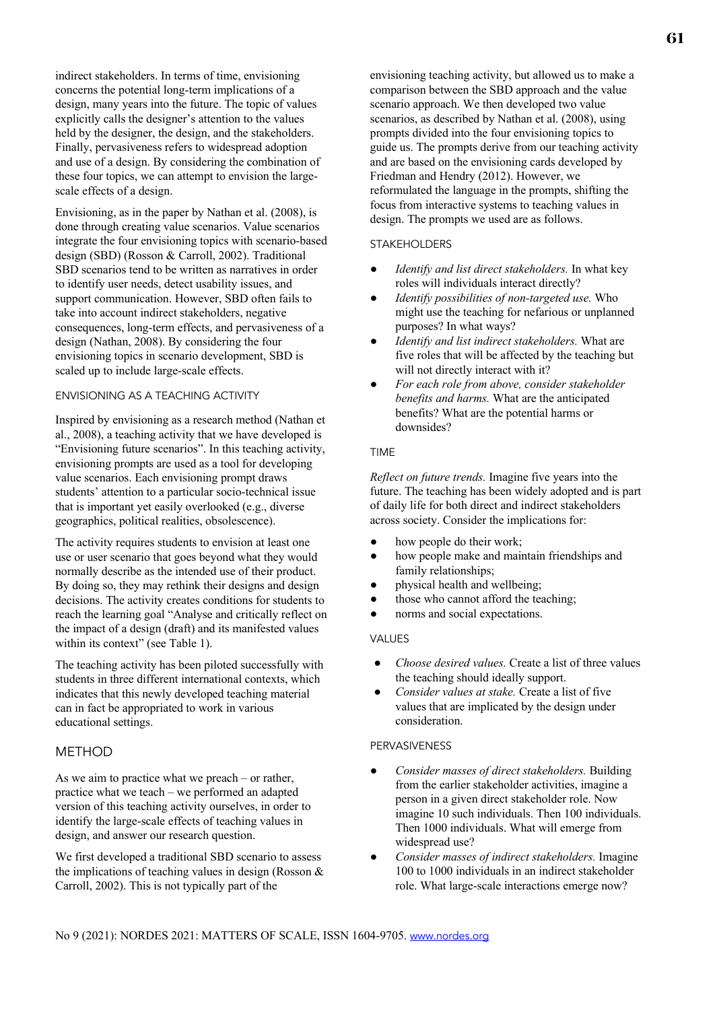indirect stakeholders. In terms of time, envisioning concerns the potential long-term implications of a design, many years into the future. The topic of values explicitly calls the designer's attention to the values held by the designer, the design, and the stakeholders. Finally, pervasiveness refers to widespread adoption and use of a design. By considering the combination of these four topics, we can attempt to envision the largescale effects of a design.

Envisioning, as in the paper by Nathan et al. (2008), is done through creating value scenarios. Value scenarios integrate the four envisioning topics with scenario-based design (SBD) (Rosson & Carroll, 2002). Traditional SBD scenarios tend to be written as narratives in order to identify user needs, detect usability issues, and support communication. However, SBD often fails to take into account indirect stakeholders, negative consequences, long-term effects, and pervasiveness of a design (Nathan, 2008). By considering the four envisioning topics in scenario development, SBD is scaled up to include large-scale effects.

## ENVISIONING AS A TEACHING ACTIVITY

Inspired by envisioning as a research method (Nathan et al., 2008), a teaching activity that we have developed is "Envisioning future scenarios". In this teaching activity, envisioning prompts are used as a tool for developing value scenarios. Each envisioning prompt draws students' attention to a particular socio-technical issue that is important yet easily overlooked (e.g., diverse geographics, political realities, obsolescence).

The activity requires students to envision at least one use or user scenario that goes beyond what they would normally describe as the intended use of their product. By doing so, they may rethink their designs and design decisions. The activity creates conditions for students to reach the learning goal "Analyse and critically reflect on the impact of a design (draft) and its manifested values within its context" (see Table 1).

The teaching activity has been piloted successfully with students in three different international contexts, which indicates that this newly developed teaching material can in fact be appropriated to work in various educational settings.

## **METHOD**

As we aim to practice what we preach – or rather, practice what we teach – we performed an adapted version of this teaching activity ourselves, in order to identify the large-scale effects of teaching values in design, and answer our research question.

We first developed a traditional SBD scenario to assess the implications of teaching values in design (Rosson & Carroll, 2002). This is not typically part of the

envisioning teaching activity, but allowed us to make a comparison between the SBD approach and the value scenario approach. We then developed two value scenarios, as described by Nathan et al. (2008), using prompts divided into the four envisioning topics to guide us. The prompts derive from our teaching activity and are based on the envisioning cards developed by Friedman and Hendry (2012). However, we reformulated the language in the prompts, shifting the focus from interactive systems to teaching values in design. The prompts we used are as follows.

## STAKEHOLDERS

- Identify and list direct stakeholders. In what key roles will individuals interact directly?
- *Identify possibilities of non-targeted use.* Who might use the teaching for nefarious or unplanned purposes? In what ways?
- Identify and list indirect stakeholders. What are five roles that will be affected by the teaching but will not directly interact with it?
- *For each role from above, consider stakeholder benefits and harms.* What are the anticipated benefits? What are the potential harms or downsides?

#### TIME

*Reflect on future trends.* Imagine five years into the future. The teaching has been widely adopted and is part of daily life for both direct and indirect stakeholders across society. Consider the implications for:

- how people do their work;
- how people make and maintain friendships and family relationships;
- physical health and wellbeing;
- those who cannot afford the teaching;
- norms and social expectations.

## VALUES

- *Choose desired values.* Create a list of three values the teaching should ideally support.
- *Consider values at stake.* Create a list of five values that are implicated by the design under consideration.

# PERVASIVENESS

- *Consider masses of direct stakeholders.* Building from the earlier stakeholder activities, imagine a person in a given direct stakeholder role. Now imagine 10 such individuals. Then 100 individuals. Then 1000 individuals. What will emerge from widespread use?
- *Consider masses of indirect stakeholders.* Imagine 100 to 1000 individuals in an indirect stakeholder role. What large-scale interactions emerge now?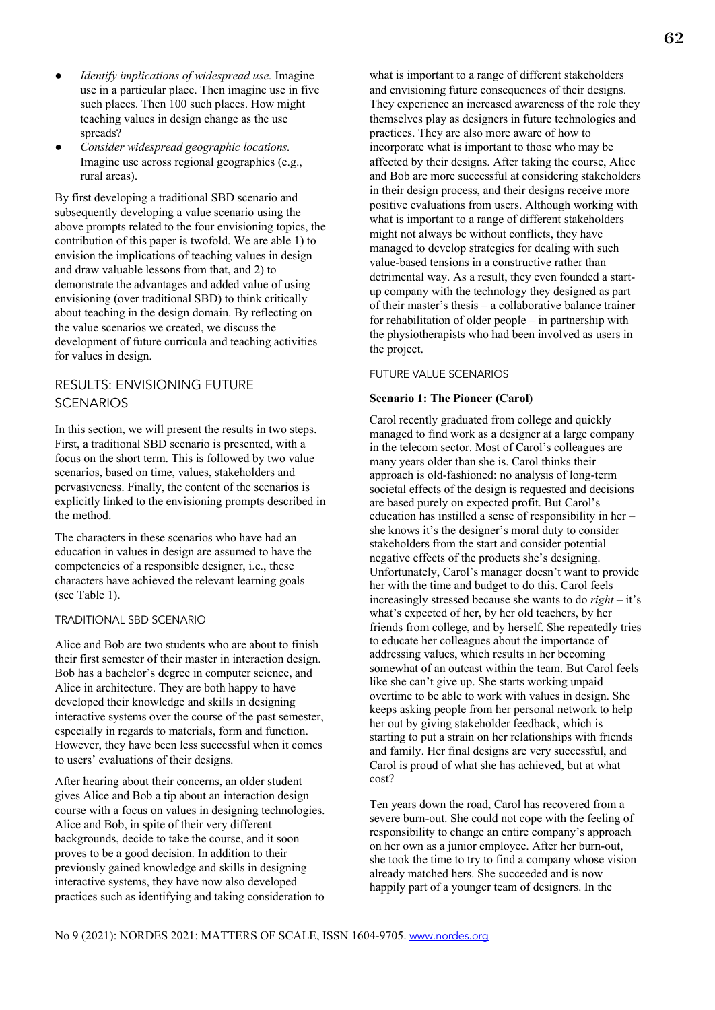- *Identify implications of widespread use.* Imagine use in a particular place. Then imagine use in five such places. Then 100 such places. How might teaching values in design change as the use spreads?
- *Consider widespread geographic locations.*  Imagine use across regional geographies (e.g., rural areas).

By first developing a traditional SBD scenario and subsequently developing a value scenario using the above prompts related to the four envisioning topics, the contribution of this paper is twofold. We are able 1) to envision the implications of teaching values in design and draw valuable lessons from that, and 2) to demonstrate the advantages and added value of using envisioning (over traditional SBD) to think critically about teaching in the design domain. By reflecting on the value scenarios we created, we discuss the development of future curricula and teaching activities for values in design.

# RESULTS: ENVISIONING FUTURE **SCENARIOS**

In this section, we will present the results in two steps. First, a traditional SBD scenario is presented, with a focus on the short term. This is followed by two value scenarios, based on time, values, stakeholders and pervasiveness. Finally, the content of the scenarios is explicitly linked to the envisioning prompts described in the method.

The characters in these scenarios who have had an education in values in design are assumed to have the competencies of a responsible designer, i.e., these characters have achieved the relevant learning goals (see Table 1).

## TRADITIONAL SBD SCENARIO

Alice and Bob are two students who are about to finish their first semester of their master in interaction design. Bob has a bachelor's degree in computer science, and Alice in architecture. They are both happy to have developed their knowledge and skills in designing interactive systems over the course of the past semester, especially in regards to materials, form and function. However, they have been less successful when it comes to users' evaluations of their designs.

After hearing about their concerns, an older student gives Alice and Bob a tip about an interaction design course with a focus on values in designing technologies. Alice and Bob, in spite of their very different backgrounds, decide to take the course, and it soon proves to be a good decision. In addition to their previously gained knowledge and skills in designing interactive systems, they have now also developed practices such as identifying and taking consideration to

what is important to a range of different stakeholders and envisioning future consequences of their designs. They experience an increased awareness of the role they themselves play as designers in future technologies and practices. They are also more aware of how to incorporate what is important to those who may be affected by their designs. After taking the course, Alice and Bob are more successful at considering stakeholders in their design process, and their designs receive more positive evaluations from users. Although working with what is important to a range of different stakeholders might not always be without conflicts, they have managed to develop strategies for dealing with such value-based tensions in a constructive rather than detrimental way. As a result, they even founded a startup company with the technology they designed as part of their master's thesis – a collaborative balance trainer for rehabilitation of older people – in partnership with the physiotherapists who had been involved as users in the project.

## FUTURE VALUE SCENARIOS

## **Scenario 1: The Pioneer (Carol)**

Carol recently graduated from college and quickly managed to find work as a designer at a large company in the telecom sector. Most of Carol's colleagues are many years older than she is. Carol thinks their approach is old-fashioned: no analysis of long-term societal effects of the design is requested and decisions are based purely on expected profit. But Carol's education has instilled a sense of responsibility in her – she knows it's the designer's moral duty to consider stakeholders from the start and consider potential negative effects of the products she's designing. Unfortunately, Carol's manager doesn't want to provide her with the time and budget to do this. Carol feels increasingly stressed because she wants to do *right* – it's what's expected of her, by her old teachers, by her friends from college, and by herself. She repeatedly tries to educate her colleagues about the importance of addressing values, which results in her becoming somewhat of an outcast within the team. But Carol feels like she can't give up. She starts working unpaid overtime to be able to work with values in design. She keeps asking people from her personal network to help her out by giving stakeholder feedback, which is starting to put a strain on her relationships with friends and family. Her final designs are very successful, and Carol is proud of what she has achieved, but at what cost?

Ten years down the road, Carol has recovered from a severe burn-out. She could not cope with the feeling of responsibility to change an entire company's approach on her own as a junior employee. After her burn-out, she took the time to try to find a company whose vision already matched hers. She succeeded and is now happily part of a younger team of designers. In the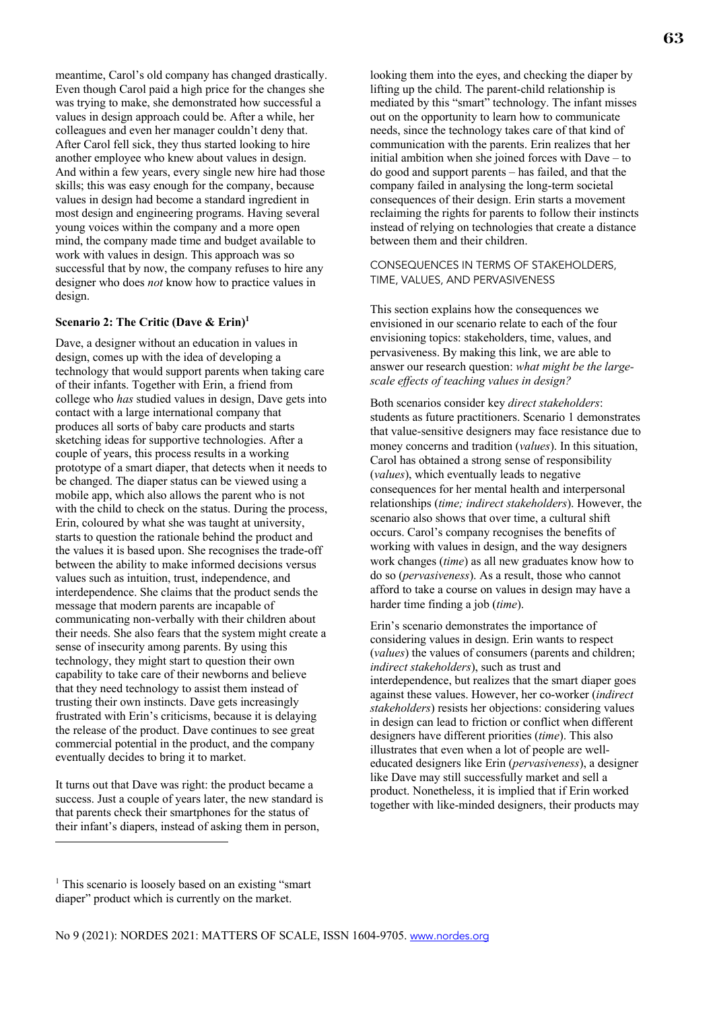meantime, Carol's old company has changed drastically. Even though Carol paid a high price for the changes she was trying to make, she demonstrated how successful a values in design approach could be. After a while, her colleagues and even her manager couldn't deny that. After Carol fell sick, they thus started looking to hire another employee who knew about values in design. And within a few years, every single new hire had those skills; this was easy enough for the company, because values in design had become a standard ingredient in most design and engineering programs. Having several young voices within the company and a more open mind, the company made time and budget available to work with values in design. This approach was so successful that by now, the company refuses to hire any designer who does *not* know how to practice values in design.

#### **Scenario 2: The Critic (Dave & Erin) 1**

Dave, a designer without an education in values in design, comes up with the idea of developing a technology that would support parents when taking care of their infants. Together with Erin, a friend from college who *has* studied values in design, Dave gets into contact with a large international company that produces all sorts of baby care products and starts sketching ideas for supportive technologies. After a couple of years, this process results in a working prototype of a smart diaper, that detects when it needs to be changed. The diaper status can be viewed using a mobile app, which also allows the parent who is not with the child to check on the status. During the process, Erin, coloured by what she was taught at university, starts to question the rationale behind the product and the values it is based upon. She recognises the trade-off between the ability to make informed decisions versus values such as intuition, trust, independence, and interdependence. She claims that the product sends the message that modern parents are incapable of communicating non-verbally with their children about their needs. She also fears that the system might create a sense of insecurity among parents. By using this technology, they might start to question their own capability to take care of their newborns and believe that they need technology to assist them instead of trusting their own instincts. Dave gets increasingly frustrated with Erin's criticisms, because it is delaying the release of the product. Dave continues to see great commercial potential in the product, and the company eventually decides to bring it to market.

It turns out that Dave was right: the product became a success. Just a couple of years later, the new standard is that parents check their smartphones for the status of their infant's diapers, instead of asking them in person,

looking them into the eyes, and checking the diaper by lifting up the child. The parent-child relationship is mediated by this "smart" technology. The infant misses out on the opportunity to learn how to communicate needs, since the technology takes care of that kind of communication with the parents. Erin realizes that her initial ambition when she joined forces with Dave – to do good and support parents – has failed, and that the company failed in analysing the long-term societal consequences of their design. Erin starts a movement reclaiming the rights for parents to follow their instincts instead of relying on technologies that create a distance between them and their children.

## CONSEQUENCES IN TERMS OF STAKEHOLDERS, TIME, VALUES, AND PERVASIVENESS

This section explains how the consequences we envisioned in our scenario relate to each of the four envisioning topics: stakeholders, time, values, and pervasiveness. By making this link, we are able to answer our research question: *what might be the largescale effects of teaching values in design?*

Both scenarios consider key *direct stakeholders*: students as future practitioners. Scenario 1 demonstrates that value-sensitive designers may face resistance due to money concerns and tradition (*values*). In this situation, Carol has obtained a strong sense of responsibility (*values*), which eventually leads to negative consequences for her mental health and interpersonal relationships (*time; indirect stakeholders*). However, the scenario also shows that over time, a cultural shift occurs. Carol's company recognises the benefits of working with values in design, and the way designers work changes (*time*) as all new graduates know how to do so (*pervasiveness*). As a result, those who cannot afford to take a course on values in design may have a harder time finding a job (*time*).

Erin's scenario demonstrates the importance of considering values in design. Erin wants to respect (*values*) the values of consumers (parents and children; *indirect stakeholders*), such as trust and interdependence, but realizes that the smart diaper goes against these values. However, her co-worker (*indirect stakeholders*) resists her objections: considering values in design can lead to friction or conflict when different designers have different priorities (*time*). This also illustrates that even when a lot of people are welleducated designers like Erin (*pervasiveness*), a designer like Dave may still successfully market and sell a product. Nonetheless, it is implied that if Erin worked together with like-minded designers, their products may

<sup>&</sup>lt;sup>1</sup> This scenario is loosely based on an existing "smart diaper" product which is currently on the market.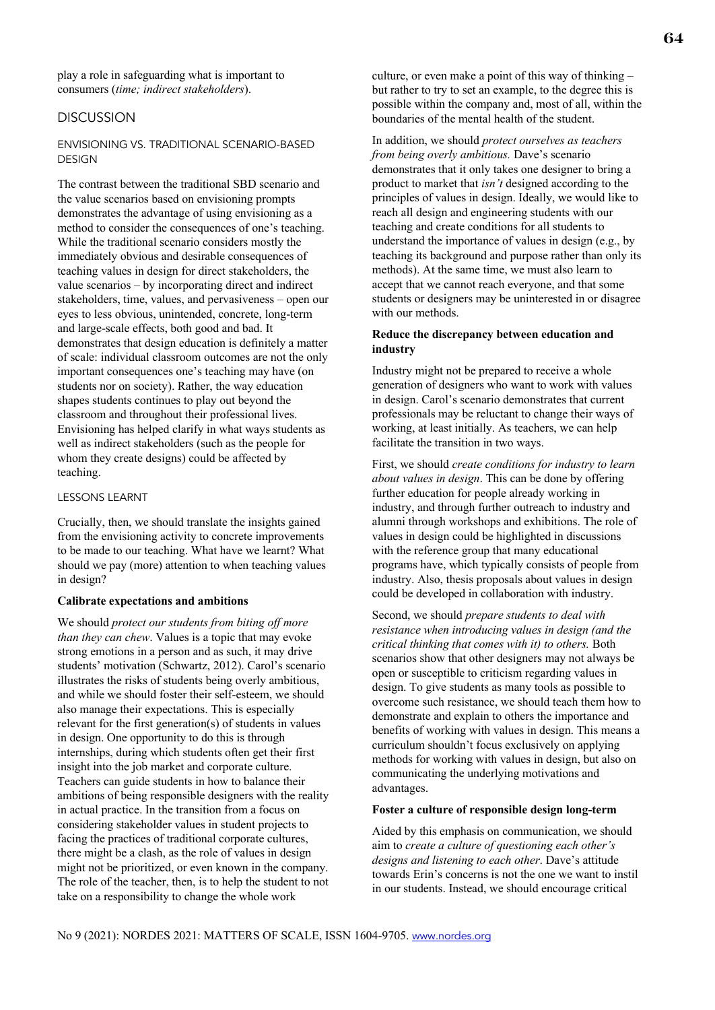# **DISCUSSION**

## ENVISIONING VS. TRADITIONAL SCENARIO-BASED DESIGN

The contrast between the traditional SBD scenario and the value scenarios based on envisioning prompts demonstrates the advantage of using envisioning as a method to consider the consequences of one's teaching. While the traditional scenario considers mostly the immediately obvious and desirable consequences of teaching values in design for direct stakeholders, the value scenarios – by incorporating direct and indirect stakeholders, time, values, and pervasiveness – open our eyes to less obvious, unintended, concrete, long-term and large-scale effects, both good and bad. It demonstrates that design education is definitely a matter of scale: individual classroom outcomes are not the only important consequences one's teaching may have (on students nor on society). Rather, the way education shapes students continues to play out beyond the classroom and throughout their professional lives. Envisioning has helped clarify in what ways students as well as indirect stakeholders (such as the people for whom they create designs) could be affected by teaching.

## LESSONS LEARNT

Crucially, then, we should translate the insights gained from the envisioning activity to concrete improvements to be made to our teaching. What have we learnt? What should we pay (more) attention to when teaching values in design?

#### **Calibrate expectations and ambitions**

We should *protect our students from biting off more than they can chew*. Values is a topic that may evoke strong emotions in a person and as such, it may drive students' motivation (Schwartz, 2012). Carol's scenario illustrates the risks of students being overly ambitious, and while we should foster their self-esteem, we should also manage their expectations. This is especially relevant for the first generation(s) of students in values in design. One opportunity to do this is through internships, during which students often get their first insight into the job market and corporate culture. Teachers can guide students in how to balance their ambitions of being responsible designers with the reality in actual practice. In the transition from a focus on considering stakeholder values in student projects to facing the practices of traditional corporate cultures, there might be a clash, as the role of values in design might not be prioritized, or even known in the company. The role of the teacher, then, is to help the student to not take on a responsibility to change the whole work

culture, or even make a point of this way of thinking – but rather to try to set an example, to the degree this is possible within the company and, most of all, within the boundaries of the mental health of the student.

In addition, we should *protect ourselves as teachers from being overly ambitious.* Dave's scenario demonstrates that it only takes one designer to bring a product to market that *isn't* designed according to the principles of values in design. Ideally, we would like to reach all design and engineering students with our teaching and create conditions for all students to understand the importance of values in design (e.g., by teaching its background and purpose rather than only its methods). At the same time, we must also learn to accept that we cannot reach everyone, and that some students or designers may be uninterested in or disagree with our methods.

## **Reduce the discrepancy between education and industry**

Industry might not be prepared to receive a whole generation of designers who want to work with values in design. Carol's scenario demonstrates that current professionals may be reluctant to change their ways of working, at least initially. As teachers, we can help facilitate the transition in two ways.

First, we should *create conditions for industry to learn about values in design*. This can be done by offering further education for people already working in industry, and through further outreach to industry and alumni through workshops and exhibitions. The role of values in design could be highlighted in discussions with the reference group that many educational programs have, which typically consists of people from industry. Also, thesis proposals about values in design could be developed in collaboration with industry.

Second, we should *prepare students to deal with resistance when introducing values in design (and the critical thinking that comes with it) to others.* Both scenarios show that other designers may not always be open or susceptible to criticism regarding values in design. To give students as many tools as possible to overcome such resistance, we should teach them how to demonstrate and explain to others the importance and benefits of working with values in design. This means a curriculum shouldn't focus exclusively on applying methods for working with values in design, but also on communicating the underlying motivations and advantages.

#### **Foster a culture of responsible design long-term**

Aided by this emphasis on communication, we should aim to *create a culture of questioning each other's designs and listening to each other*. Dave's attitude towards Erin's concerns is not the one we want to instil in our students. Instead, we should encourage critical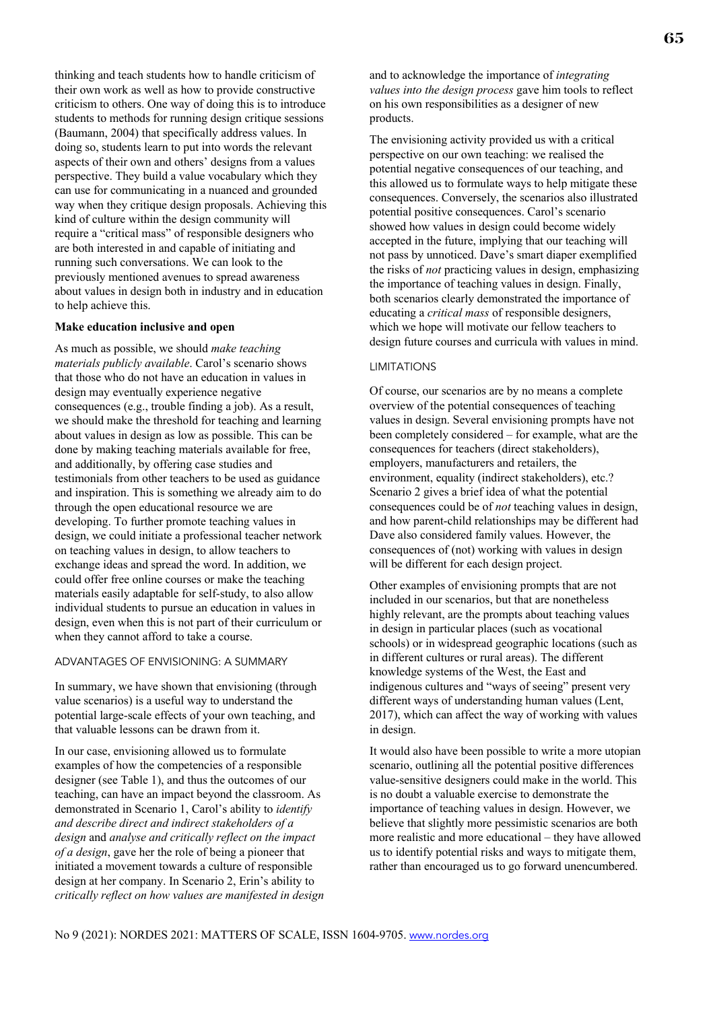thinking and teach students how to handle criticism of their own work as well as how to provide constructive criticism to others. One way of doing this is to introduce students to methods for running design critique sessions (Baumann, 2004) that specifically address values. In doing so, students learn to put into words the relevant aspects of their own and others' designs from a values perspective. They build a value vocabulary which they can use for communicating in a nuanced and grounded way when they critique design proposals. Achieving this kind of culture within the design community will require a "critical mass" of responsible designers who are both interested in and capable of initiating and running such conversations. We can look to the previously mentioned avenues to spread awareness about values in design both in industry and in education to help achieve this.

## **Make education inclusive and open**

As much as possible, we should *make teaching materials publicly available*. Carol's scenario shows that those who do not have an education in values in design may eventually experience negative consequences (e.g., trouble finding a job). As a result, we should make the threshold for teaching and learning about values in design as low as possible. This can be done by making teaching materials available for free, and additionally, by offering case studies and testimonials from other teachers to be used as guidance and inspiration. This is something we already aim to do through the open educational resource we are developing. To further promote teaching values in design, we could initiate a professional teacher network on teaching values in design, to allow teachers to exchange ideas and spread the word. In addition, we could offer free online courses or make the teaching materials easily adaptable for self-study, to also allow individual students to pursue an education in values in design, even when this is not part of their curriculum or when they cannot afford to take a course.

## ADVANTAGES OF ENVISIONING: A SUMMARY

In summary, we have shown that envisioning (through value scenarios) is a useful way to understand the potential large-scale effects of your own teaching, and that valuable lessons can be drawn from it.

In our case, envisioning allowed us to formulate examples of how the competencies of a responsible designer (see Table 1), and thus the outcomes of our teaching, can have an impact beyond the classroom. As demonstrated in Scenario 1, Carol's ability to *identify and describe direct and indirect stakeholders of a design* and *analyse and critically reflect on the impact of a design*, gave her the role of being a pioneer that initiated a movement towards a culture of responsible design at her company. In Scenario 2, Erin's ability to *critically reflect on how values are manifested in design* and to acknowledge the importance of *integrating values into the design process* gave him tools to reflect on his own responsibilities as a designer of new products.

The envisioning activity provided us with a critical perspective on our own teaching: we realised the potential negative consequences of our teaching, and this allowed us to formulate ways to help mitigate these consequences. Conversely, the scenarios also illustrated potential positive consequences. Carol's scenario showed how values in design could become widely accepted in the future, implying that our teaching will not pass by unnoticed. Dave's smart diaper exemplified the risks of *not* practicing values in design, emphasizing the importance of teaching values in design. Finally, both scenarios clearly demonstrated the importance of educating a *critical mass* of responsible designers, which we hope will motivate our fellow teachers to design future courses and curricula with values in mind.

#### LIMITATIONS

Of course, our scenarios are by no means a complete overview of the potential consequences of teaching values in design. Several envisioning prompts have not been completely considered – for example, what are the consequences for teachers (direct stakeholders), employers, manufacturers and retailers, the environment, equality (indirect stakeholders), etc.? Scenario 2 gives a brief idea of what the potential consequences could be of *not* teaching values in design, and how parent-child relationships may be different had Dave also considered family values. However, the consequences of (not) working with values in design will be different for each design project.

Other examples of envisioning prompts that are not included in our scenarios, but that are nonetheless highly relevant, are the prompts about teaching values in design in particular places (such as vocational schools) or in widespread geographic locations (such as in different cultures or rural areas). The different knowledge systems of the West, the East and indigenous cultures and "ways of seeing" present very different ways of understanding human values (Lent, 2017), which can affect the way of working with values in design.

It would also have been possible to write a more utopian scenario, outlining all the potential positive differences value-sensitive designers could make in the world. This is no doubt a valuable exercise to demonstrate the importance of teaching values in design. However, we believe that slightly more pessimistic scenarios are both more realistic and more educational – they have allowed us to identify potential risks and ways to mitigate them, rather than encouraged us to go forward unencumbered.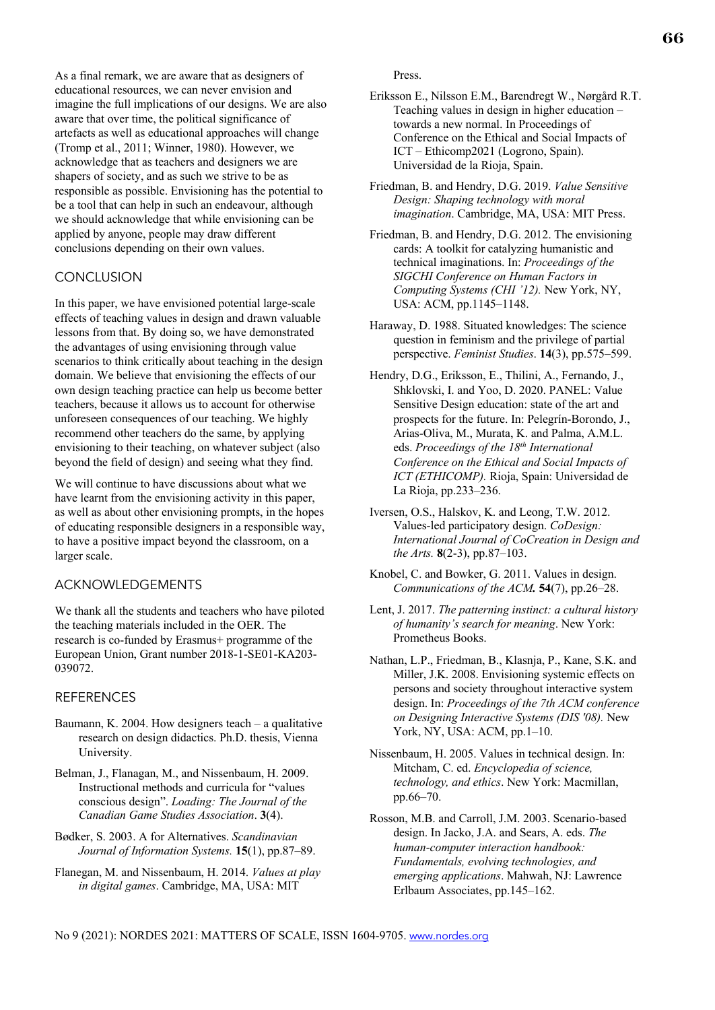66

As a final remark, we are aware that as designers of educational resources, we can never envision and imagine the full implications of our designs. We are also aware that over time, the political significance of artefacts as well as educational approaches will change (Tromp et al., 2011; Winner, 1980). However, we acknowledge that as teachers and designers we are shapers of society, and as such we strive to be as responsible as possible. Envisioning has the potential to be a tool that can help in such an endeavour, although we should acknowledge that while envisioning can be applied by anyone, people may draw different conclusions depending on their own values.

# **CONCLUSION**

In this paper, we have envisioned potential large-scale effects of teaching values in design and drawn valuable lessons from that. By doing so, we have demonstrated the advantages of using envisioning through value scenarios to think critically about teaching in the design domain. We believe that envisioning the effects of our own design teaching practice can help us become better teachers, because it allows us to account for otherwise unforeseen consequences of our teaching. We highly recommend other teachers do the same, by applying envisioning to their teaching, on whatever subject (also beyond the field of design) and seeing what they find.

We will continue to have discussions about what we have learnt from the envisioning activity in this paper, as well as about other envisioning prompts, in the hopes of educating responsible designers in a responsible way, to have a positive impact beyond the classroom, on a larger scale.

# ACKNOWLEDGEMENTS

We thank all the students and teachers who have piloted the teaching materials included in the OER. The research is co-funded by Erasmus+ programme of the European Union, Grant number 2018-1-SE01-KA203- 039072.

# **REFERENCES**

- Baumann, K. 2004. How designers teach  $-$  a qualitative research on design didactics. Ph.D. thesis, Vienna University.
- Belman, J., Flanagan, M., and Nissenbaum, H. 2009. Instructional methods and curricula for "values conscious design". *Loading: The Journal of the Canadian Game Studies Association*. **3**(4).
- Bødker, S. 2003. A for Alternatives. *Scandinavian Journal of Information Systems.* **15**(1), pp.87–89.
- Flanegan, M. and Nissenbaum, H. 2014. *Values at play in digital games*. Cambridge, MA, USA: MIT

Press.

- Eriksson E., Nilsson E.M., Barendregt W., Nørgård R.T. Teaching values in design in higher education – towards a new normal. In Proceedings of Conference on the Ethical and Social Impacts of ICT – Ethicomp2021 (Logrono, Spain). Universidad de la Rioja, Spain.
- Friedman, B. and Hendry, D.G. 2019. *Value Sensitive Design: Shaping technology with moral imagination*. Cambridge, MA, USA: MIT Press.
- Friedman, B. and Hendry, D.G. 2012. The envisioning cards: A toolkit for catalyzing humanistic and technical imaginations. In: *Proceedings of the SIGCHI Conference on Human Factors in Computing Systems (CHI '12).* New York, NY, USA: ACM, pp.1145–1148.
- Haraway, D. 1988. Situated knowledges: The science question in feminism and the privilege of partial perspective. *Feminist Studies*. **14**(3), pp.575–599.
- Hendry, D.G., Eriksson, E., Thilini, A., Fernando, J., Shklovski, I. and Yoo, D. 2020. PANEL: Value Sensitive Design education: state of the art and prospects for the future. In: Pelegrín-Borondo, J., Arias-Oliva, M., Murata, K. and Palma, A.M.L. eds. *Proceedings of the 18th International Conference on the Ethical and Social Impacts of ICT (ETHICOMP).* Rioja, Spain: Universidad de La Rioja, pp.233–236.
- Iversen, O.S., Halskov, K. and Leong, T.W. 2012. Values-led participatory design. *CoDesign: International Journal of CoCreation in Design and the Arts.* **8**(2-3), pp.87–103.
- Knobel, C. and Bowker, G. 2011. Values in design. *Communications of the ACM.* **54**(7), pp.26–28.
- Lent, J. 2017. *The patterning instinct: a cultural history of humanity's search for meaning*. New York: Prometheus Books.
- Nathan, L.P., Friedman, B., Klasnja, P., Kane, S.K. and Miller, J.K. 2008. Envisioning systemic effects on persons and society throughout interactive system design. In: *Proceedings of the 7th ACM conference on Designing Interactive Systems (DIS '08).* New York, NY, USA: ACM, pp.1–10.
- Nissenbaum, H. 2005. Values in technical design. In: Mitcham, C. ed. *Encyclopedia of science, technology, and ethics*. New York: Macmillan, pp.66–70.
- Rosson, M.B. and Carroll, J.M. 2003. Scenario-based design. In Jacko, J.A. and Sears, A. eds. *The human-computer interaction handbook: Fundamentals, evolving technologies, and emerging applications*. Mahwah, NJ: Lawrence Erlbaum Associates, pp.145–162.